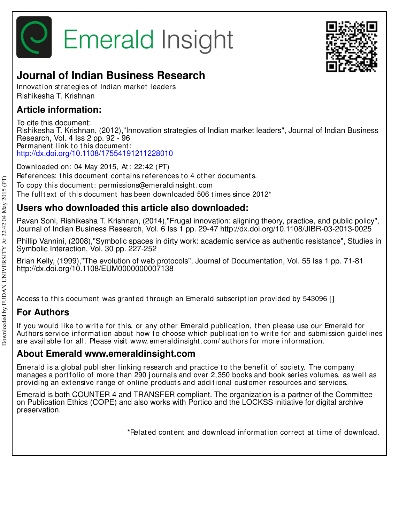



# **Journal of Indian Business Research**

Innovat ion st rat egies of Indian market leaders Rishikesha T. Krishnan

# **Article information:**

To cite this document: Rishikesha T. Krishnan, (2012),"Innovation strategies of Indian market leaders", Journal of Indian Business Research, Vol. 4 Iss 2 pp. 92 - 96 Permanent link to this document: http://dx.doi.org/10.1108/17554191211228010

Downloaded on: 04 May 2015, At : 22:42 (PT)

References: this document contains references to 4 other documents.

To copy t his document : permissions@emeraldinsight .com

The fulltext of this document has been downloaded 506 times since  $2012<sup>*</sup>$ 

# **Users who downloaded this article also downloaded:**

Pavan Soni, Rishikesha T. Krishnan, (2014),"Frugal innovation: aligning theory, practice, and public policy", Journal of Indian Business Research, Vol. 6 Iss 1 pp. 29-47 http://dx.doi.org/10.1108/JIBR-03-2013-0025

Phillip Vannini, (2008),"Symbolic spaces in dirty work: academic service as authentic resistance", Studies in Symbolic Interaction, Vol. 30 pp. 227-252

Brian Kelly, (1999),"The evolution of web protocols", Journal of Documentation, Vol. 55 Iss 1 pp. 71-81 http://dx.doi.org/10.1108/EUM0000000007138

Access to this document was granted through an Emerald subscription provided by 543096 []

# **For Authors**

If you would like to write for this, or any other Emerald publication, then please use our Emerald for Authors service information about how to choose which publication to write for and submission guidelines are available for all. Please visit www.emeraldinsight .com/ aut hors for more informat ion.

## **About Emerald www.emeraldinsight.com**

Emerald is a global publisher linking research and practice to the benefit of society. The company manages a portfolio of more than 290 journals and over 2,350 books and book series volumes, as well as providing an extensive range of online products and additional customer resources and services.

Emerald is both COUNTER 4 and TRANSFER compliant. The organization is a partner of the Committee on Publication Ethics (COPE) and also works with Portico and the LOCKSS initiative for digital archive preservation.

\*Relat ed cont ent and download informat ion correct at t ime of download.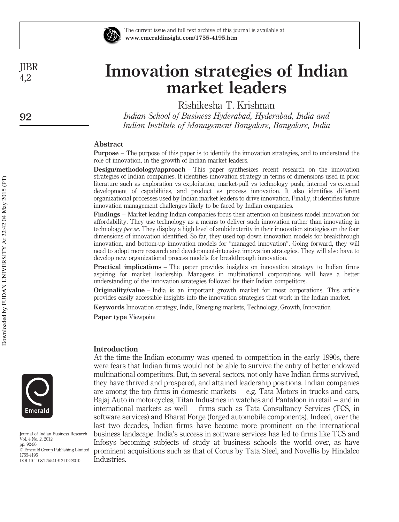

The current issue and full text archive of this journal is available at www.emeraldinsight.com/1755-4195.htm

JIBR 4,2

92

# Innovation strategies of Indian market leaders

Rishikesha T. Krishnan

Indian School of Business Hyderabad, Hyderabad, India and Indian Institute of Management Bangalore, Bangalore, India

## Abstract

Purpose – The purpose of this paper is to identify the innovation strategies, and to understand the role of innovation, in the growth of Indian market leaders.

Design/methodology/approach – This paper synthesizes recent research on the innovation strategies of Indian companies. It identifies innovation strategy in terms of dimensions used in prior literature such as exploration vs exploitation, market-pull vs technology push, internal vs external development of capabilities, and product vs process innovation. It also identifies different organizational processes used by Indian market leaders to drive innovation. Finally, it identifies future innovation management challenges likely to be faced by Indian companies.

Findings – Market-leading Indian companies focus their attention on business model innovation for affordability. They use technology as a means to deliver such innovation rather than innovating in technology per se. They display a high level of ambidexterity in their innovation strategies on the four dimensions of innovation identified. So far, they used top-down innovation models for breakthrough innovation, and bottom-up innovation models for "managed innovation". Going forward, they will need to adopt more research and development-intensive innovation strategies. They will also have to develop new organizational process models for breakthrough innovation.

Practical implications – The paper provides insights on innovation strategy to Indian firms aspiring for market leadership. Managers in multinational corporations will have a better understanding of the innovation strategies followed by their Indian competitors.

Originality/value – India is an important growth market for most corporations. This article provides easily accessible insights into the innovation strategies that work in the Indian market.

Keywords Innovation strategy, India, Emerging markets, Technology, Growth, Innovation

Paper type Viewpoint

## Introduction

At the time the Indian economy was opened to competition in the early 1990s, there were fears that Indian firms would not be able to survive the entry of better endowed multinational competitors. But, in several sectors, not only have Indian firms survived, they have thrived and prospered, and attained leadership positions. Indian companies are among the top firms in domestic markets – e.g. Tata Motors in trucks and cars, Bajaj Auto in motorcycles, Titan Industries in watches and Pantaloon in retail – and in international markets as well – firms such as Tata Consultancy Services (TCS, in software services) and Bharat Forge (forged automobile components). Indeed, over the last two decades, Indian firms have become more prominent on the international business landscape. India's success in software services has led to firms like TCS and Infosys becoming subjects of study at business schools the world over, as have prominent acquisitions such as that of Corus by Tata Steel, and Novellis by Hindalco Industries.



Journal of Indian Business Research Vol. 4 No. 2, 2012 pp. 92-96  $©$  Emerald Group Publishing Limited 1755-4195 DOI 10.1108/17554191211228010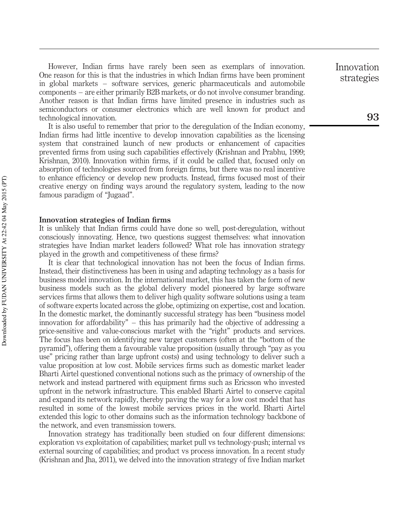However, Indian firms have rarely been seen as exemplars of innovation. One reason for this is that the industries in which Indian firms have been prominent in global markets – software services, generic pharmaceuticals and automobile components – are either primarily B2B markets, or do not involve consumer branding. Another reason is that Indian firms have limited presence in industries such as semiconductors or consumer electronics which are well known for product and technological innovation.

It is also useful to remember that prior to the deregulation of the Indian economy, Indian firms had little incentive to develop innovation capabilities as the licensing system that constrained launch of new products or enhancement of capacities prevented firms from using such capabilities effectively (Krishnan and Prabhu, 1999; Krishnan, 2010). Innovation within firms, if it could be called that, focused only on absorption of technologies sourced from foreign firms, but there was no real incentive to enhance efficiency or develop new products. Instead, firms focused most of their creative energy on finding ways around the regulatory system, leading to the now famous paradigm of "Jugaad".

## Innovation strategies of Indian firms

It is unlikely that Indian firms could have done so well, post-deregulation, without consciously innovating. Hence, two questions suggest themselves: what innovation strategies have Indian market leaders followed? What role has innovation strategy played in the growth and competitiveness of these firms?

It is clear that technological innovation has not been the focus of Indian firms. Instead, their distinctiveness has been in using and adapting technology as a basis for business model innovation. In the international market, this has taken the form of new business models such as the global delivery model pioneered by large software services firms that allows them to deliver high quality software solutions using a team of software experts located across the globe, optimizing on expertise, cost and location. In the domestic market, the dominantly successful strategy has been "business model innovation for affordability" – this has primarily had the objective of addressing a price-sensitive and value-conscious market with the "right" products and services. The focus has been on identifying new target customers (often at the "bottom of the pyramid"), offering them a favourable value proposition (usually through "pay as you use" pricing rather than large upfront costs) and using technology to deliver such a value proposition at low cost. Mobile services firms such as domestic market leader Bharti Airtel questioned conventional notions such as the primacy of ownership of the network and instead partnered with equipment firms such as Ericsson who invested upfront in the network infrastructure. This enabled Bharti Airtel to conserve capital and expand its network rapidly, thereby paving the way for a low cost model that has resulted in some of the lowest mobile services prices in the world. Bharti Airtel extended this logic to other domains such as the information technology backbone of the network, and even transmission towers.

Innovation strategy has traditionally been studied on four different dimensions: exploration vs exploitation of capabilities; market pull vs technology-push; internal vs external sourcing of capabilities; and product vs process innovation. In a recent study (Krishnan and Jha, 2011), we delved into the innovation strategy of five Indian market Innovation strategies

93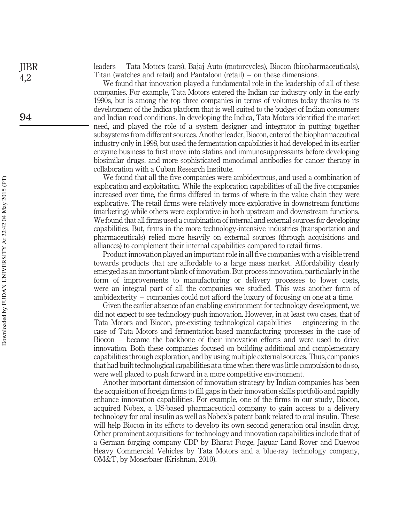leaders – Tata Motors (cars), Bajaj Auto (motorcycles), Biocon (biopharmaceuticals), Titan (watches and retail) and Pantaloon (retail) – on these dimensions.

We found that innovation played a fundamental role in the leadership of all of these companies. For example, Tata Motors entered the Indian car industry only in the early 1990s, but is among the top three companies in terms of volumes today thanks to its development of the Indica platform that is well suited to the budget of Indian consumers and Indian road conditions. In developing the Indica, Tata Motors identified the market need, and played the role of a system designer and integrator in putting together subsystems from different sources. Another leader, Biocon, entered the biopharmaceutical industry only in 1998, but used the fermentation capabilities it had developed in its earlier enzyme business to first move into statins and immunosuppressants before developing biosimilar drugs, and more sophisticated monoclonal antibodies for cancer therapy in collaboration with a Cuban Research Institute.

We found that all the five companies were ambidextrous, and used a combination of exploration and exploitation. While the exploration capabilities of all the five companies increased over time, the firms differed in terms of where in the value chain they were explorative. The retail firms were relatively more explorative in downstream functions (marketing) while others were explorative in both upstream and downstream functions. We found that all firms used a combination of internal and external sources for developing capabilities. But, firms in the more technology-intensive industries (transportation and pharmaceuticals) relied more heavily on external sources (through acquisitions and alliances) to complement their internal capabilities compared to retail firms.

Product innovation played an important role in all five companies with a visible trend towards products that are affordable to a large mass market. Affordability clearly emerged as an important plank of innovation. But process innovation, particularly in the form of improvements to manufacturing or delivery processes to lower costs, were an integral part of all the companies we studied. This was another form of ambidexterity – companies could not afford the luxury of focusing on one at a time.

Given the earlier absence of an enabling environment for technology development, we did not expect to see technology-push innovation. However, in at least two cases, that of Tata Motors and Biocon, pre-existing technological capabilities – engineering in the case of Tata Motors and fermentation-based manufacturing processes in the case of Biocon – became the backbone of their innovation efforts and were used to drive innovation. Both these companies focused on building additional and complementary capabilities through exploration, and by using multiple external sources. Thus, companies that had built technological capabilities at a time when there was little compulsion to do so, were well placed to push forward in a more competitive environment.

Another important dimension of innovation strategy by Indian companies has been the acquisition of foreign firms to fill gaps in their innovation skills portfolio and rapidly enhance innovation capabilities. For example, one of the firms in our study, Biocon, acquired Nobex, a US-based pharmaceutical company to gain access to a delivery technology for oral insulin as well as Nobex's patent bank related to oral insulin. These will help Biocon in its efforts to develop its own second generation oral insulin drug. Other prominent acquisitions for technology and innovation capabilities include that of a German forging company CDP by Bharat Forge, Jaguar Land Rover and Daewoo Heavy Commercial Vehicles by Tata Motors and a blue-ray technology company, OM&T, by Moserbaer (Krishnan, 2010).

JIBR 4,2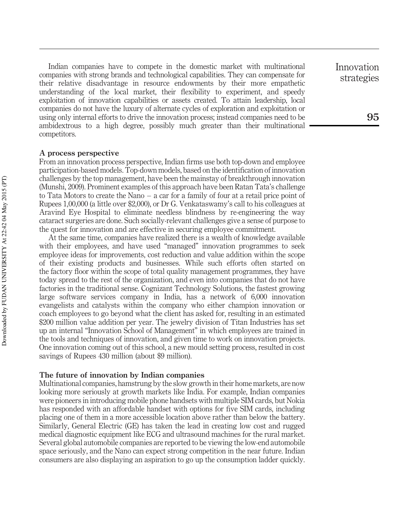Indian companies have to compete in the domestic market with multinational companies with strong brands and technological capabilities. They can compensate for their relative disadvantage in resource endowments by their more empathetic understanding of the local market, their flexibility to experiment, and speedy exploitation of innovation capabilities or assets created. To attain leadership, local companies do not have the luxury of alternate cycles of exploration and exploitation or using only internal efforts to drive the innovation process; instead companies need to be ambidextrous to a high degree, possibly much greater than their multinational competitors.

### A process perspective

From an innovation process perspective, Indian firms use both top-down and employee participation-based models. Top-down models, based on the identification of innovation challenges by the top management, have been the mainstay of breakthrough innovation (Munshi, 2009). Prominent examples of this approach have been Ratan Tata's challenge to Tata Motors to create the Nano – a car for a family of four at a retail price point of Rupees 1,00,000 (a little over \$2,000), or Dr G. Venkataswamy's call to his colleagues at Aravind Eye Hospital to eliminate needless blindness by re-engineering the way cataract surgeries are done. Such socially-relevant challenges give a sense of purpose to the quest for innovation and are effective in securing employee commitment.

At the same time, companies have realized there is a wealth of knowledge available with their employees, and have used "managed" innovation programmes to seek employee ideas for improvements, cost reduction and value addition within the scope of their existing products and businesses. While such efforts often started on the factory floor within the scope of total quality management programmes, they have today spread to the rest of the organization, and even into companies that do not have factories in the traditional sense. Cognizant Technology Solutions, the fastest growing large software services company in India, has a network of 6,000 innovation evangelists and catalysts within the company who either champion innovation or coach employees to go beyond what the client has asked for, resulting in an estimated \$200 million value addition per year. The jewelry division of Titan Industries has set up an internal "Innovation School of Management" in which employees are trained in the tools and techniques of innovation, and given time to work on innovation projects. One innovation coming out of this school, a new mould setting process, resulted in cost savings of Rupees 430 million (about \$9 million).

#### The future of innovation by Indian companies

Multinational companies, hamstrung by the slow growth in their home markets, are now looking more seriously at growth markets like India. For example, Indian companies were pioneers in introducing mobile phone handsets with multiple SIM cards, but Nokia has responded with an affordable handset with options for five SIM cards, including placing one of them in a more accessible location above rather than below the battery. Similarly, General Electric (GE) has taken the lead in creating low cost and rugged medical diagnostic equipment like ECG and ultrasound machines for the rural market. Several global automobile companies are reported to be viewing the low-end automobile space seriously, and the Nano can expect strong competition in the near future. Indian consumers are also displaying an aspiration to go up the consumption ladder quickly. Innovation strategies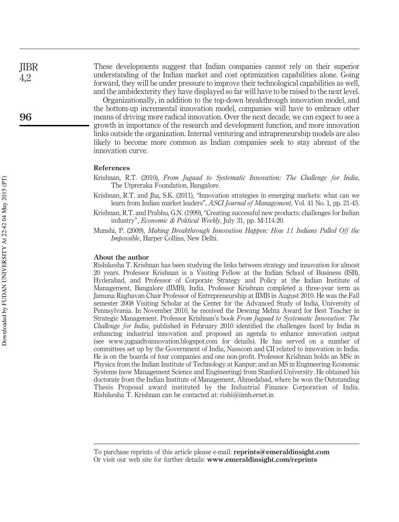These developments suggest that Indian companies cannot rely on their superior understanding of the Indian market and cost optimization capabilities alone. Going forward, they will be under pressure to improve their technological capabilities as well, and the ambidexterity they have displayed so far will have to be raised to the next level.

Organizationally, in addition to the top-down breakthrough innovation model, and the bottom-up incremental innovation model, companies will have to embrace other means of driving more radical innovation. Over the next decade, we can expect to see a growth in importance of the research and development function, and more innovation links outside the organization. Internal venturing and intrapreneurship models are also likely to become more common as Indian companies seek to stay abreast of the innovation curve.

### References

- Krishnan, R.T. (2010), From Jugaad to Systematic Innovation: The Challenge for India, The Utpreraka Foundation, Bangalore.
- Krishnan, R.T. and Jha, S.K. (2011), "Innovation strategies in emerging markets: what can we learn from Indian market leaders", *ASCI Journal of Management*, Vol. 41 No. 1, pp. 21-45.
- Krishnan, R.T. and Prabhu, G.N. (1999), "Creating successful new products: challenges for Indian industry", Economic & Political Weekly, July 31, pp. M-114-20.
- Munshi, P. (2009), Making Breakthrough Innovation Happen: How 11 Indians Pulled Off the Impossible, Harper Collins, New Delhi.

#### About the author

Rishikesha T. Krishnan has been studying the links between strategy and innovation for almost 20 years. Professor Krishnan is a Visiting Fellow at the Indian School of Business (ISB), Hyderabad, and Professor of Corporate Strategy and Policy at the Indian Institute of Management, Bangalore (IIMB), India. Professor Krishnan completed a three-year term as Jamuna Raghavan Chair Professor of Entrepreneurship at IIMB in August 2010. He was the Fall semester 2008 Visiting Scholar at the Center for the Advanced Study of India, University of Pennsylvania. In November 2010, he received the Dewang Mehta Award for Best Teacher in Strategic Management. Professor Krishnan's book From Jugaad to Systematic Innovation: The Challenge for India, published in February 2010 identified the challenges faced by India in enhancing industrial innovation and proposed an agenda to enhance innovation output (see www.jugaadtoinnovation.blogspot.com for details). He has served on a number of committees set up by the Government of India, Nasscom and CII related to innovation in India. He is on the boards of four companies and one non-profit. Professor Krishnan holds an MSc in Physics from the Indian Institute of Technology at Kanpur; and an MS in Engineering-Economic Systems (now Management Science and Engineering) from Stanford University. He obtained his doctorate from the Indian Institute of Management, Ahmedabad, where he won the Outstanding Thesis Proposal award instituted by the Industrial Finance Corporation of India. Rishikesha T. Krishnan can be contacted at: rishi@iimb.ernet.in

JIBR 4,2

To purchase reprints of this article please e-mail: reprints@emeraldinsight.com Or visit our web site for further details: www.emeraldinsight.com/reprints